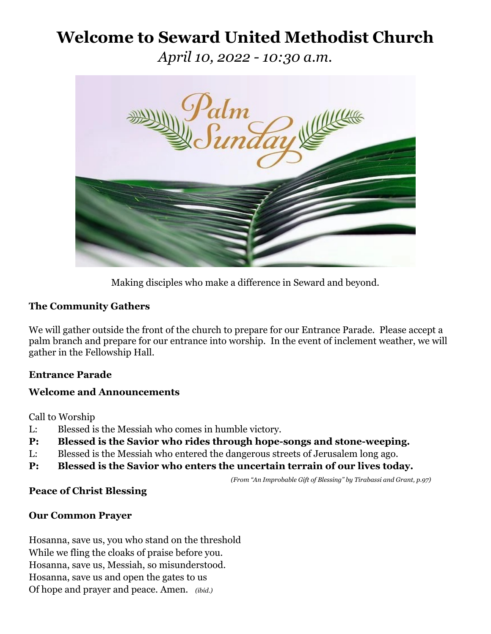# **Welcome to Seward United Methodist Church**

*April 10, 2022 - 10:30 a.m.*



Making disciples who make a difference in Seward and beyond.

### **The Community Gathers**

We will gather outside the front of the church to prepare for our Entrance Parade. Please accept a palm branch and prepare for our entrance into worship. In the event of inclement weather, we will gather in the Fellowship Hall.

### **Entrance Parade**

### **Welcome and Announcements**

Call to Worship

- L: Blessed is the Messiah who comes in humble victory.
- **P: Blessed is the Savior who rides through hope-songs and stone-weeping.**
- L: Blessed is the Messiah who entered the dangerous streets of Jerusalem long ago.
- **P: Blessed is the Savior who enters the uncertain terrain of our lives today.**

*(From "An Improbable Gift of Blessing" by Tirabassi and Grant, p.97)*

### **Peace of Christ Blessing**

### **Our Common Prayer**

Hosanna, save us, you who stand on the threshold While we fling the cloaks of praise before you. Hosanna, save us, Messiah, so misunderstood. Hosanna, save us and open the gates to us Of hope and prayer and peace. Amen. *(ibid.)*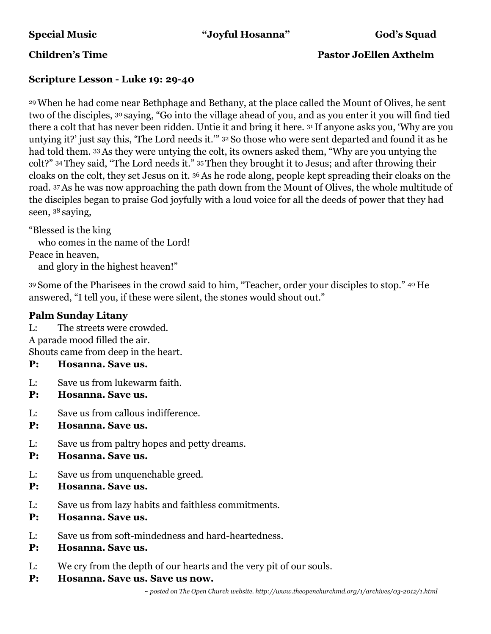### **Special Music "Joyful Hosanna" God's Squad**

## **Children's Time Pastor JoEllen Axthelm**

### **Scripture Lesson - Luke 19: 29-40**

29When he had come near Bethphage and Bethany, at the place called the Mount of Olives, he sent two of the disciples, 30 saying, "Go into the village ahead of you, and as you enter it you will find tied there a colt that has never been ridden. Untie it and bring it here. 31 If anyone asks you, 'Why are you untying it?' just say this, 'The Lord needs it.'" 32 So those who were sent departed and found it as he had told them. 33As they were untying the colt, its owners asked them, "Why are you untying the colt?" 34 They said, "The Lord needs it." 35 Then they brought it to Jesus; and after throwing their cloaks on the colt, they set Jesus on it. 36As he rode along, people kept spreading their cloaks on the road. 37As he was now approaching the path down from the Mount of Olives, the whole multitude of the disciples began to praise God joyfully with a loud voice for all the deeds of power that they had seen, 38 saying,

### "Blessed is the king

 who comes in the name of the Lord! Peace in heaven, and glory in the highest heaven!"

<sup>39</sup> Some of the Pharisees in the crowd said to him, "Teacher, order your disciples to stop." 40 He answered, "I tell you, if these were silent, the stones would shout out."

### **Palm Sunday Litany**

L: The streets were crowded. A parade mood filled the air. Shouts came from deep in the heart.

### **P: Hosanna. Save us.**

- L: Save us from lukewarm faith.
- **P: Hosanna. Save us.**
- L: Save us from callous indifference.
- **P: Hosanna. Save us.**
- L: Save us from paltry hopes and petty dreams.
- **P: Hosanna. Save us.**
- L: Save us from unquenchable greed.
- **P: Hosanna. Save us.**
- L: Save us from lazy habits and faithless commitments.
- **P: Hosanna. Save us.**
- L: Save us from soft-mindedness and hard-heartedness.
- **P: Hosanna. Save us.**
- L: We cry from the depth of our hearts and the very pit of our souls.
- **P: Hosanna. Save us. Save us now.**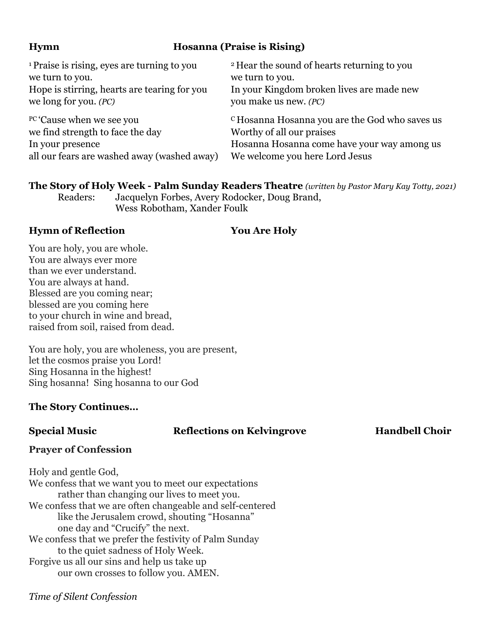### **Hymn Hosanna (Praise is Rising)**

| <sup>1</sup> Praise is rising, eyes are turning to you | <sup>2</sup> Hear the sound of hearts returning to you    |
|--------------------------------------------------------|-----------------------------------------------------------|
| we turn to you.                                        | we turn to you.                                           |
| Hope is stirring, hearts are tearing for you           | In your Kingdom broken lives are made new                 |
| we long for you. <i>(PC)</i>                           | you make us new. (PC)                                     |
| <sup>PC</sup> 'Cause when we see you                   | <sup>C</sup> Hosanna Hosanna you are the God who saves us |
| we find strength to face the day                       | Worthy of all our praises                                 |
| In your presence                                       | Hosanna Hosanna come have your way among us               |
| all our fears are washed away (washed away)            | We welcome you here Lord Jesus                            |

**The Story of Holy Week - Palm Sunday Readers Theatre** *(written by Pastor Mary Kay Totty, 2021)* Readers: Jacquelyn Forbes, Avery Rodocker, Doug Brand, Wess Robotham, Xander Foulk

### **Hymn of Reflection You Are Holy**

You are holy, you are whole. You are always ever more than we ever understand. You are always at hand. Blessed are you coming near; blessed are you coming here to your church in wine and bread, raised from soil, raised from dead.

You are holy, you are wholeness, you are present, let the cosmos praise you Lord! Sing Hosanna in the highest! Sing hosanna! Sing hosanna to our God

### **The Story Continues…**

### **Special Music Reflections on Kelvingrove Handbell Choir**

### **Prayer of Confession**

Holy and gentle God, We confess that we want you to meet our expectations rather than changing our lives to meet you. We confess that we are often changeable and self-centered like the Jerusalem crowd, shouting "Hosanna" one day and "Crucify" the next. We confess that we prefer the festivity of Palm Sunday to the quiet sadness of Holy Week. Forgive us all our sins and help us take up our own crosses to follow you. AMEN.

*Time of Silent Confession*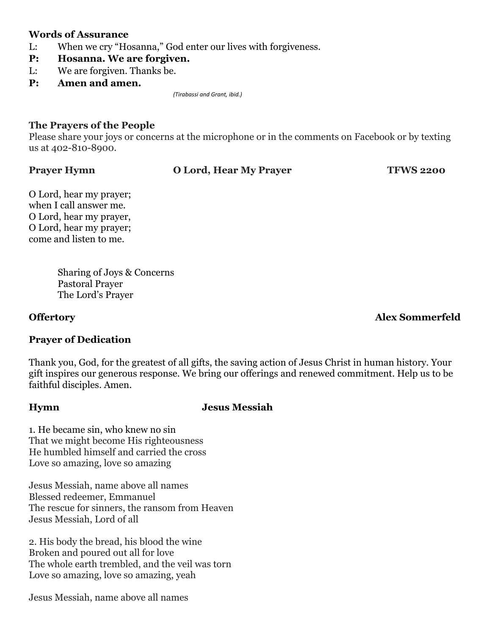### **Words of Assurance**

- L: When we cry "Hosanna," God enter our lives with forgiveness.
- **P: Hosanna. We are forgiven.**
- L: We are forgiven. Thanks be.
- **P: Amen and amen.**

*(Tirabassi and Grant, ibid.)*

### **The Prayers of the People**

Please share your joys or concerns at the microphone or in the comments on Facebook or by texting us at 402-810-8900.

| <b>Prayer Hymn</b> | <b>O Lord, Hear My Prayer</b> | <b>TFWS 2200</b> |
|--------------------|-------------------------------|------------------|
|                    |                               |                  |

O Lord, hear my prayer; when I call answer me. O Lord, hear my prayer, O Lord, hear my prayer; come and listen to me.

> Sharing of Joys & Concerns Pastoral Prayer The Lord's Prayer

### **Offertory Alex Sommerfeld**

### **Prayer of Dedication**

Thank you, God, for the greatest of all gifts, the saving action of Jesus Christ in human history. Your gift inspires our generous response. We bring our offerings and renewed commitment. Help us to be faithful disciples. Amen.

### **Hymn Jesus Messiah**

1. He became sin, who knew no sin That we might become His righteousness He humbled himself and carried the cross Love so amazing, love so amazing

Jesus Messiah, name above all names Blessed redeemer, Emmanuel The rescue for sinners, the ransom from Heaven Jesus Messiah, Lord of all

2. His body the bread, his blood the wine Broken and poured out all for love The whole earth trembled, and the veil was torn Love so amazing, love so amazing, yeah

Jesus Messiah, name above all names